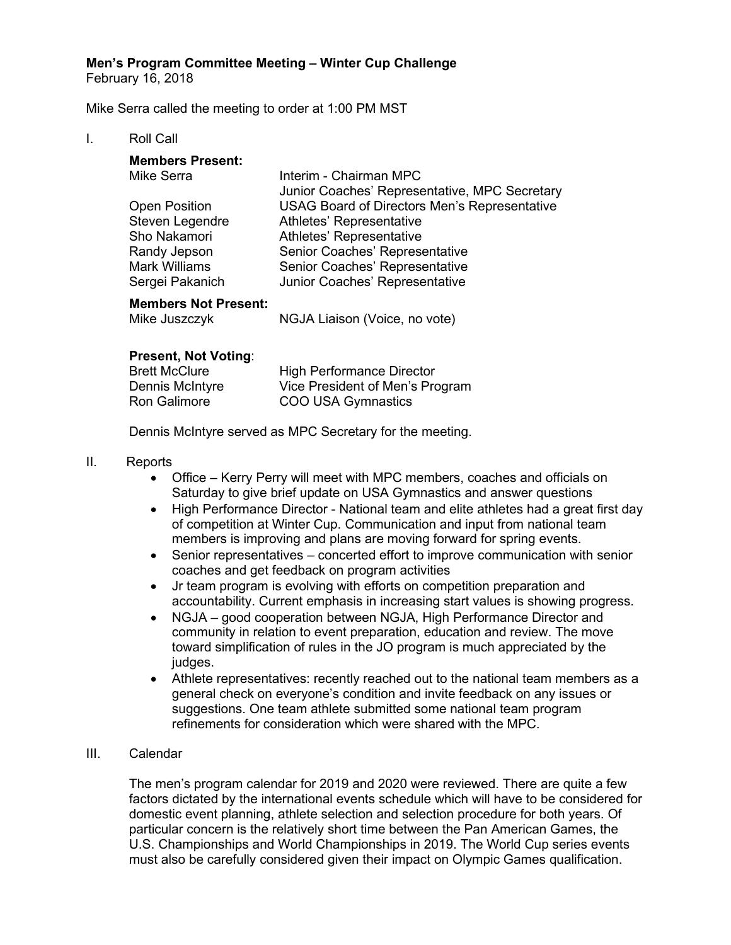**Men's Program Committee Meeting – Winter Cup Challenge**

February 16, 2018

Mike Serra called the meeting to order at 1:00 PM MST

## I. Roll Call

| <b>Members Present:</b>     |                                                     |
|-----------------------------|-----------------------------------------------------|
| Mike Serra                  | Interim - Chairman MPC                              |
|                             | Junior Coaches' Representative, MPC Secretary       |
| <b>Open Position</b>        | <b>USAG Board of Directors Men's Representative</b> |
| Steven Legendre             | Athletes' Representative                            |
| Sho Nakamori                | Athletes' Representative                            |
| Randy Jepson                | Senior Coaches' Representative                      |
| <b>Mark Williams</b>        | Senior Coaches' Representative                      |
| Sergei Pakanich             | Junior Coaches' Representative                      |
| <b>Members Not Present:</b> |                                                     |

| Mike Juszczyk | NGJA Liaison (Voice, no vote) |
|---------------|-------------------------------|

## **Present, Not Voting**:

| <b>Brett McClure</b> | <b>High Performance Director</b> |
|----------------------|----------------------------------|
| Dennis McIntyre      | Vice President of Men's Program  |
| Ron Galimore         | COO USA Gymnastics               |

Dennis McIntyre served as MPC Secretary for the meeting.

## II. Reports

- Office Kerry Perry will meet with MPC members, coaches and officials on Saturday to give brief update on USA Gymnastics and answer questions
- High Performance Director National team and elite athletes had a great first day of competition at Winter Cup. Communication and input from national team members is improving and plans are moving forward for spring events.
- Senior representatives concerted effort to improve communication with senior coaches and get feedback on program activities
- Jr team program is evolving with efforts on competition preparation and accountability. Current emphasis in increasing start values is showing progress.
- NGJA good cooperation between NGJA, High Performance Director and community in relation to event preparation, education and review. The move toward simplification of rules in the JO program is much appreciated by the judges.
- Athlete representatives: recently reached out to the national team members as a general check on everyone's condition and invite feedback on any issues or suggestions. One team athlete submitted some national team program refinements for consideration which were shared with the MPC.

### III. Calendar

The men's program calendar for 2019 and 2020 were reviewed. There are quite a few factors dictated by the international events schedule which will have to be considered for domestic event planning, athlete selection and selection procedure for both years. Of particular concern is the relatively short time between the Pan American Games, the U.S. Championships and World Championships in 2019. The World Cup series events must also be carefully considered given their impact on Olympic Games qualification.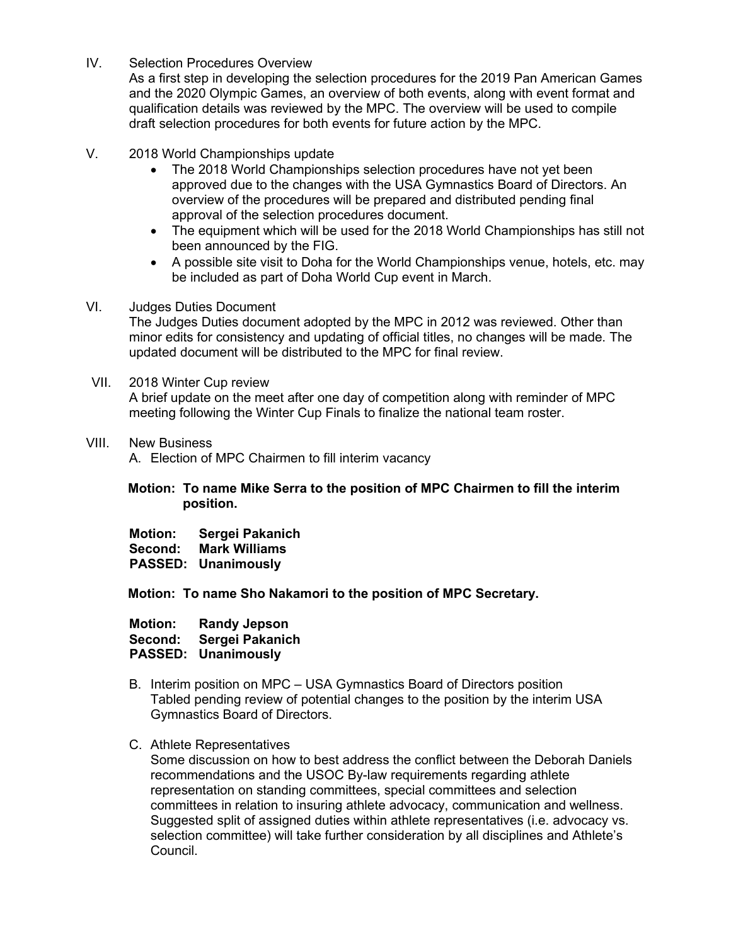IV. Selection Procedures Overview

As a first step in developing the selection procedures for the 2019 Pan American Games and the 2020 Olympic Games, an overview of both events, along with event format and qualification details was reviewed by the MPC. The overview will be used to compile draft selection procedures for both events for future action by the MPC.

- V. 2018 World Championships update
	- The 2018 World Championships selection procedures have not yet been approved due to the changes with the USA Gymnastics Board of Directors. An overview of the procedures will be prepared and distributed pending final approval of the selection procedures document.
	- The equipment which will be used for the 2018 World Championships has still not been announced by the FIG.
	- A possible site visit to Doha for the World Championships venue, hotels, etc. may be included as part of Doha World Cup event in March.

### VI. Judges Duties Document

The Judges Duties document adopted by the MPC in 2012 was reviewed. Other than minor edits for consistency and updating of official titles, no changes will be made. The updated document will be distributed to the MPC for final review.

VII. 2018 Winter Cup review

A brief update on the meet after one day of competition along with reminder of MPC meeting following the Winter Cup Finals to finalize the national team roster.

VIII. New Business

A. Election of MPC Chairmen to fill interim vacancy

## **Motion: To name Mike Serra to the position of MPC Chairmen to fill the interim position.**

**Motion: Sergei Pakanich**

**Second: Mark Williams PASSED: Unanimously**

**Motion: To name Sho Nakamori to the position of MPC Secretary.** 

| <b>Motion:</b> | <b>Randy Jepson</b>        |
|----------------|----------------------------|
| Second:        | Sergei Pakanich            |
|                | <b>PASSED: Unanimously</b> |

- B. Interim position on MPC USA Gymnastics Board of Directors position Tabled pending review of potential changes to the position by the interim USA Gymnastics Board of Directors.
- C. Athlete Representatives

Some discussion on how to best address the conflict between the Deborah Daniels recommendations and the USOC By-law requirements regarding athlete representation on standing committees, special committees and selection committees in relation to insuring athlete advocacy, communication and wellness. Suggested split of assigned duties within athlete representatives (i.e. advocacy vs. selection committee) will take further consideration by all disciplines and Athlete's Council.